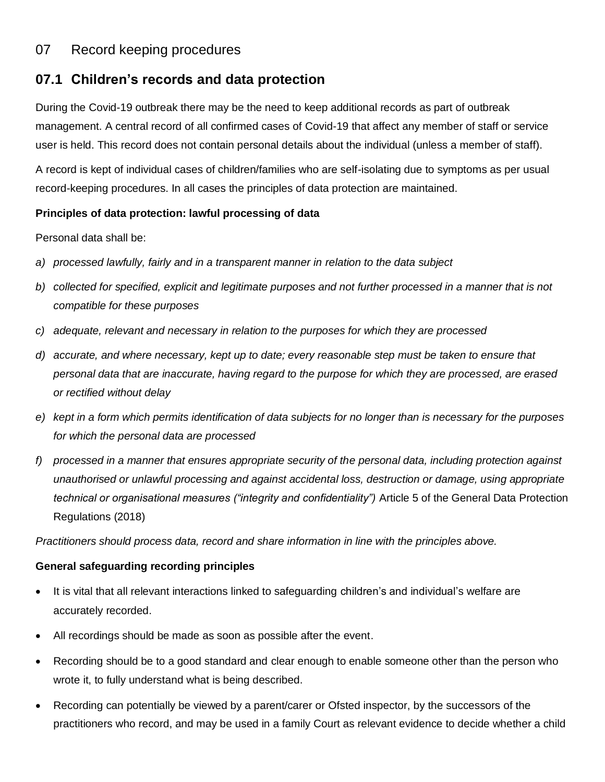# 07 Record keeping procedures

## **07.1 Children's records and data protection**

During the Covid-19 outbreak there may be the need to keep additional records as part of outbreak management. A central record of all confirmed cases of Covid-19 that affect any member of staff or service user is held. This record does not contain personal details about the individual (unless a member of staff).

A record is kept of individual cases of children/families who are self-isolating due to symptoms as per usual record-keeping procedures. In all cases the principles of data protection are maintained.

#### **Principles of data protection: lawful processing of data**

Personal data shall be:

- *a) processed lawfully, fairly and in a transparent manner in relation to the data subject*
- *b) collected for specified, explicit and legitimate purposes and not further processed in a manner that is not compatible for these purposes*
- *c) adequate, relevant and necessary in relation to the purposes for which they are processed*
- *d) accurate, and where necessary, kept up to date; every reasonable step must be taken to ensure that personal data that are inaccurate, having regard to the purpose for which they are processed, are erased or rectified without delay*
- *e) kept in a form which permits identification of data subjects for no longer than is necessary for the purposes for which the personal data are processed*
- *f) processed in a manner that ensures appropriate security of the personal data, including protection against unauthorised or unlawful processing and against accidental loss, destruction or damage, using appropriate technical or organisational measures ("integrity and confidentiality")* Article 5 of the General Data Protection Regulations (2018)

*Practitioners should process data, record and share information in line with the principles above.*

#### **General safeguarding recording principles**

- It is vital that all relevant interactions linked to safeguarding children's and individual's welfare are accurately recorded.
- All recordings should be made as soon as possible after the event.
- Recording should be to a good standard and clear enough to enable someone other than the person who wrote it, to fully understand what is being described.
- Recording can potentially be viewed by a parent/carer or Ofsted inspector, by the successors of the practitioners who record, and may be used in a family Court as relevant evidence to decide whether a child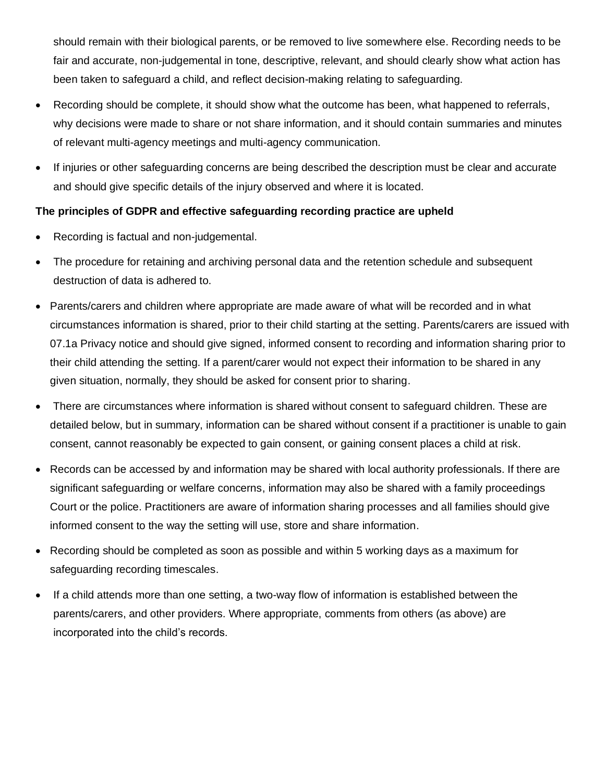should remain with their biological parents, or be removed to live somewhere else. Recording needs to be fair and accurate, non-judgemental in tone, descriptive, relevant, and should clearly show what action has been taken to safeguard a child, and reflect decision-making relating to safeguarding.

- Recording should be complete, it should show what the outcome has been, what happened to referrals, why decisions were made to share or not share information, and it should contain summaries and minutes of relevant multi-agency meetings and multi-agency communication.
- If injuries or other safeguarding concerns are being described the description must be clear and accurate and should give specific details of the injury observed and where it is located.

### **The principles of GDPR and effective safeguarding recording practice are upheld**

- Recording is factual and non-judgemental.
- The procedure for retaining and archiving personal data and the retention schedule and subsequent destruction of data is adhered to.
- Parents/carers and children where appropriate are made aware of what will be recorded and in what circumstances information is shared, prior to their child starting at the setting. Parents/carers are issued with 07.1a Privacy notice and should give signed, informed consent to recording and information sharing prior to their child attending the setting. If a parent/carer would not expect their information to be shared in any given situation, normally, they should be asked for consent prior to sharing.
- There are circumstances where information is shared without consent to safeguard children. These are detailed below, but in summary, information can be shared without consent if a practitioner is unable to gain consent, cannot reasonably be expected to gain consent, or gaining consent places a child at risk.
- Records can be accessed by and information may be shared with local authority professionals. If there are significant safeguarding or welfare concerns, information may also be shared with a family proceedings Court or the police. Practitioners are aware of information sharing processes and all families should give informed consent to the way the setting will use, store and share information.
- Recording should be completed as soon as possible and within 5 working days as a maximum for safeguarding recording timescales.
- If a child attends more than one setting, a two-way flow of information is established between the parents/carers, and other providers. Where appropriate, comments from others (as above) are incorporated into the child's records.